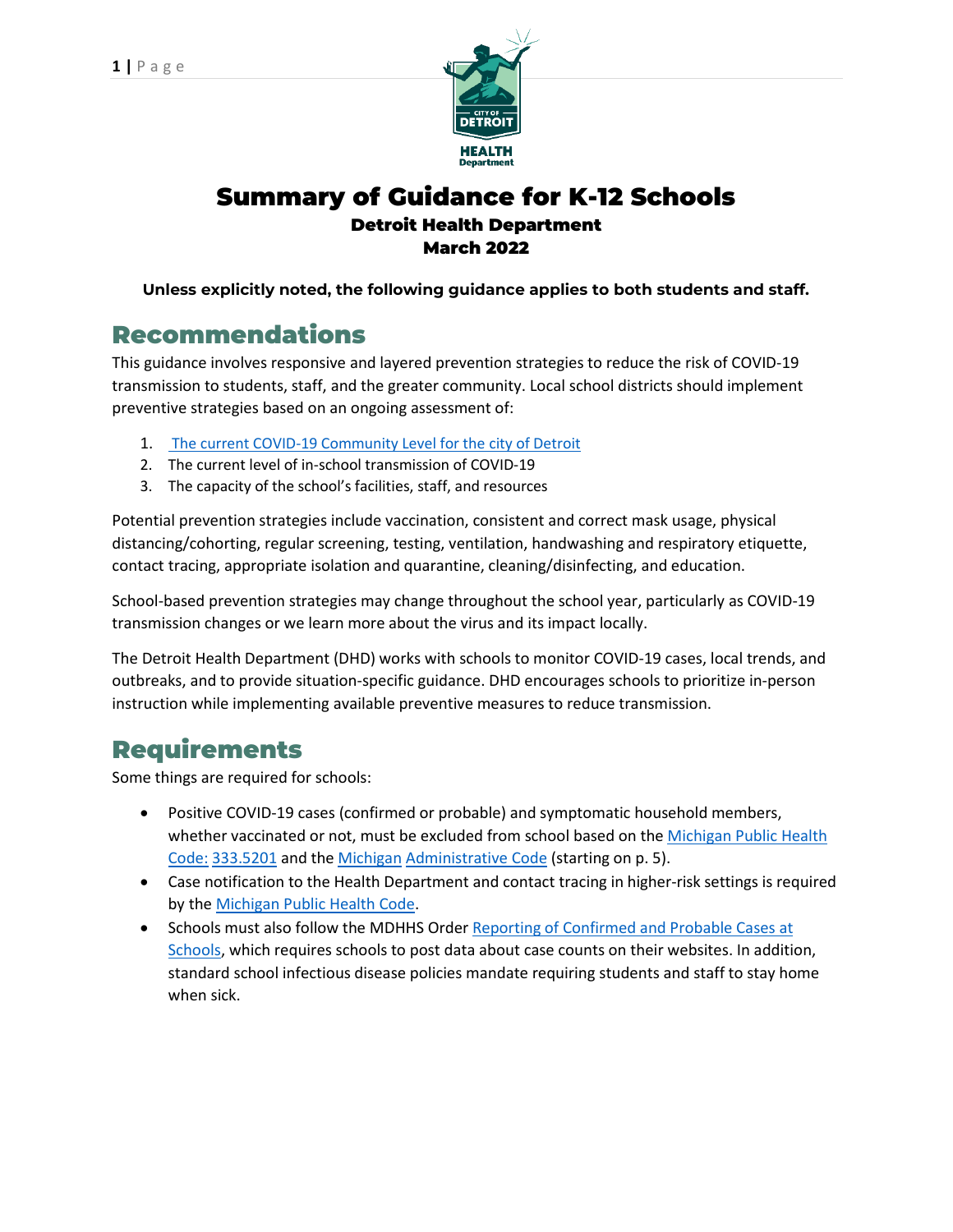

## Summary of Guidance for K-12 Schools Detroit Health Department March 2022

### **Unless explicitly noted, the following guidance applies to both students and staff.**

## Recommendations

This guidance involves responsive and layered prevention strategies to reduce the risk of COVID-19 transmission to students, staff, and the greater community. Local school districts should implement preventive strategies based on an ongoing assessment of:

- 1. The current COVID-19 Community Level for the city of Detroit
- 2. The current level of in-school transmission of COVID-19
- 3. The capacity of the school's facilities, staff, and resources

Potential prevention strategies include vaccination, consistent and correct mask usage, physical distancing/cohorting, regular screening, testing, ventilation, handwashing and respiratory etiquette, contact tracing, appropriate isolation and quarantine, cleaning/disinfecting, and education.

School-based prevention strategies may change throughout the school year, particularly as COVID-19 transmission changes or we learn more about the virus and its impact locally.

The Detroit Health Department (DHD) works with schools to monitor COVID-19 cases, local trends, and outbreaks, and to provide situation-specific guidance. DHD encourages schools to prioritize in-person instruction while implementing available preventive measures to reduce transmission.

## Requirements

Some things are required for schools:

- Positive COVID-19 cases (confirmed or probable) and symptomatic household members, whether vaccinated or not, must be excluded from school based on the Michigan [Public Health](http://www.legislature.mi.gov/(S(pm2ouitkaqlenccge5jgc21e))/mileg.aspx?page=GetObject&objectname=mcl-333-5201) Code: [333.5201](http://www.legislature.mi.gov/(S(pm2ouitkaqlenccge5jgc21e))/mileg.aspx?page=GetObject&objectname=mcl-333-5201) and the Michigan [Administrative](https://www.michigan.gov/documents/mdhhs/1472_2014-073CH_AdminCode_1_676105_7.pdf) Code (starting on p. 5).
- Case notification to the Health Department and contact tracing in higher-risk settings is required by the Michigan Public Health Code.
- Schools must also follow the MDHHS Order Reporting [of Confirmed](https://www.michigan.gov/coronavirus/0%2C9753%2C7-406-98178_98455-541860--%2C00.html) and Probable Cases at [Schools,](https://www.michigan.gov/coronavirus/0%2C9753%2C7-406-98178_98455-541860--%2C00.html) which requires schools to post data about case counts on their websites. In addition, standard school infectious disease policies mandate requiring students and staff to stay home when sick.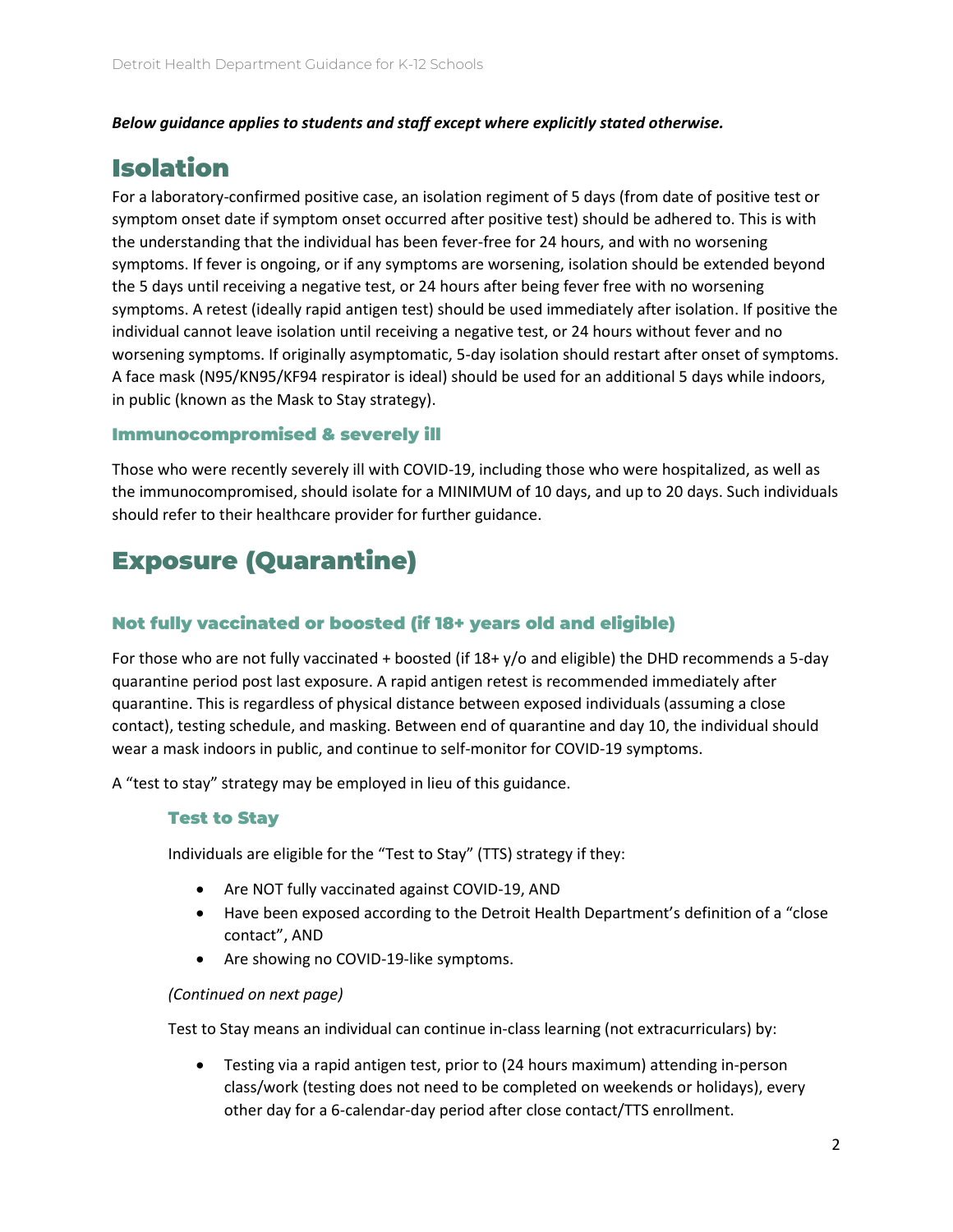### *Below guidance applies to students and staff except where explicitly stated otherwise.*

## Isolation

For a laboratory-confirmed positive case, an isolation regiment of 5 days (from date of positive test or symptom onset date if symptom onset occurred after positive test) should be adhered to. This is with the understanding that the individual has been fever-free for 24 hours, and with no worsening symptoms. If fever is ongoing, or if any symptoms are worsening, isolation should be extended beyond the 5 days until receiving a negative test, or 24 hours after being fever free with no worsening symptoms. A retest (ideally rapid antigen test) should be used immediately after isolation. If positive the individual cannot leave isolation until receiving a negative test, or 24 hours without fever and no worsening symptoms. If originally asymptomatic, 5-day isolation should restart after onset of symptoms. A face mask (N95/KN95/KF94 respirator is ideal) should be used for an additional 5 days while indoors, in public (known as the Mask to Stay strategy).

### Immunocompromised & severely ill

Those who were recently severely ill with COVID-19, including those who were hospitalized, as well as the immunocompromised, should isolate for a MINIMUM of 10 days, and up to 20 days. Such individuals should refer to their healthcare provider for further guidance.

## Exposure (Quarantine)

### Not fully vaccinated or boosted (if 18+ years old and eligible)

For those who are not fully vaccinated + boosted (if 18+ y/o and eligible) the DHD recommends a 5-day quarantine period post last exposure. A rapid antigen retest is recommended immediately after quarantine. This is regardless of physical distance between exposed individuals (assuming a close contact), testing schedule, and masking. Between end of quarantine and day 10, the individual should wear a mask indoors in public, and continue to self-monitor for COVID-19 symptoms.

A "test to stay" strategy may be employed in lieu of this guidance.

### Test to Stay

Individuals are eligible for the "Test to Stay" (TTS) strategy if they:

- Are NOT fully vaccinated against COVID-19, AND
- Have been exposed according to the Detroit Health Department's definition of a "close contact", AND
- Are showing no COVID-19-like symptoms.

### *(Continued on next page)*

Test to Stay means an individual can continue in-class learning (not extracurriculars) by:

• Testing via a rapid antigen test, prior to (24 hours maximum) attending in-person class/work (testing does not need to be completed on weekends or holidays), every other day for a 6-calendar-day period after close contact/TTS enrollment.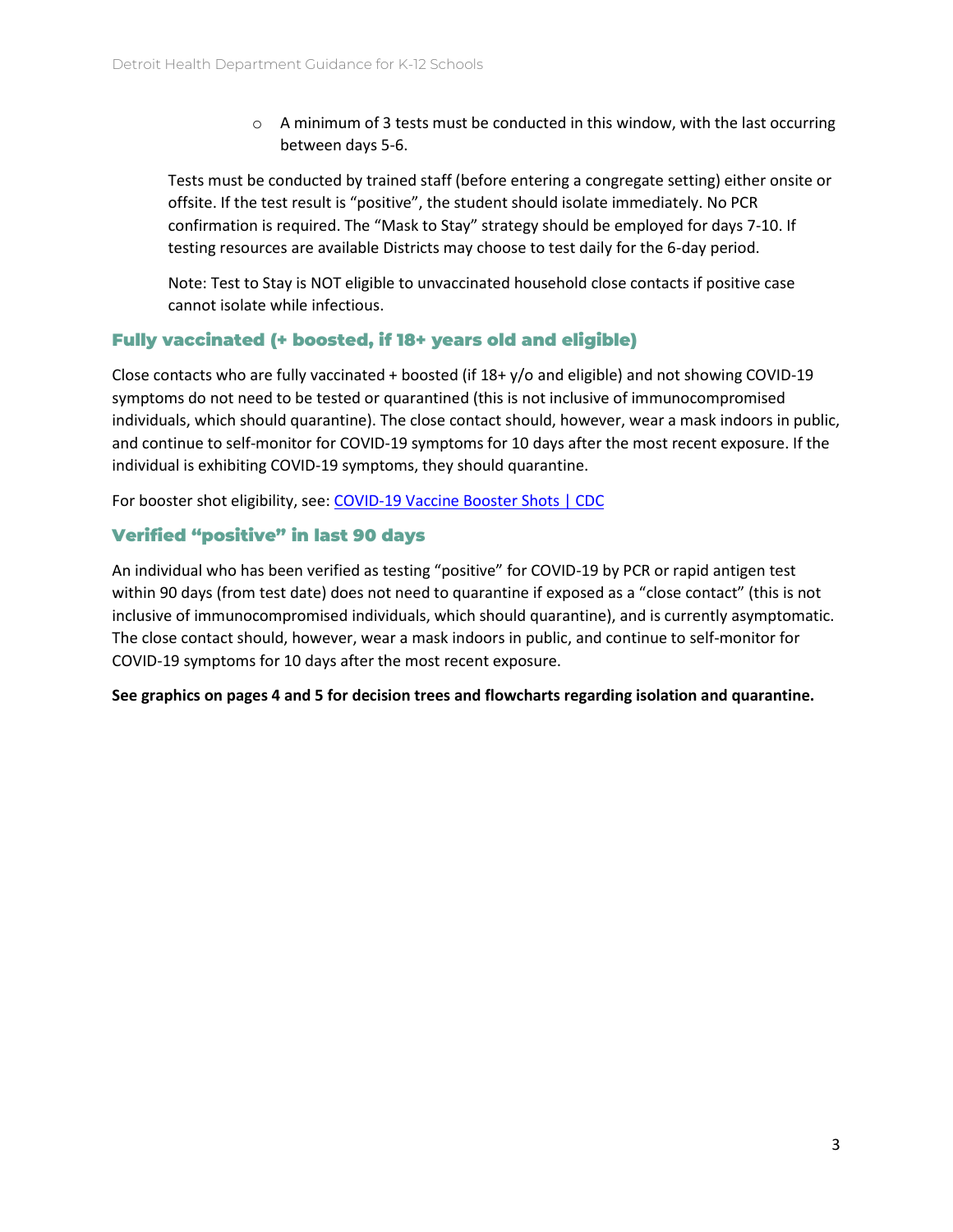$\circ$  A minimum of 3 tests must be conducted in this window, with the last occurring between days 5-6.

Tests must be conducted by trained staff (before entering a congregate setting) either onsite or offsite. If the test result is "positive", the student should isolate immediately. No PCR confirmation is required. The "Mask to Stay" strategy should be employed for days 7-10. If testing resources are available Districts may choose to test daily for the 6-day period.

Note: Test to Stay is NOT eligible to unvaccinated household close contacts if positive case cannot isolate while infectious.

### Fully vaccinated (+ boosted, if 18+ years old and eligible)

Close contacts who are fully vaccinated + boosted (if 18+ y/o and eligible) and not showing COVID-19 symptoms do not need to be tested or quarantined (this is not inclusive of immunocompromised individuals, which should quarantine). The close contact should, however, wear a mask indoors in public, and continue to self-monitor for COVID-19 symptoms for 10 days after the most recent exposure. If the individual is exhibiting COVID-19 symptoms, they should quarantine.

For booster shot eligibility, see[: COVID-19 Vaccine Booster Shots | CDC](https://www.cdc.gov/coronavirus/2019-ncov/vaccines/booster-shot.html)

### Verified "positive" in last 90 days

An individual who has been verified as testing "positive" for COVID-19 by PCR or rapid antigen test within 90 days (from test date) does not need to quarantine if exposed as a "close contact" (this is not inclusive of immunocompromised individuals, which should quarantine), and is currently asymptomatic. The close contact should, however, wear a mask indoors in public, and continue to self-monitor for COVID-19 symptoms for 10 days after the most recent exposure.

**See graphics on pages 4 and 5 for decision trees and flowcharts regarding isolation and quarantine.**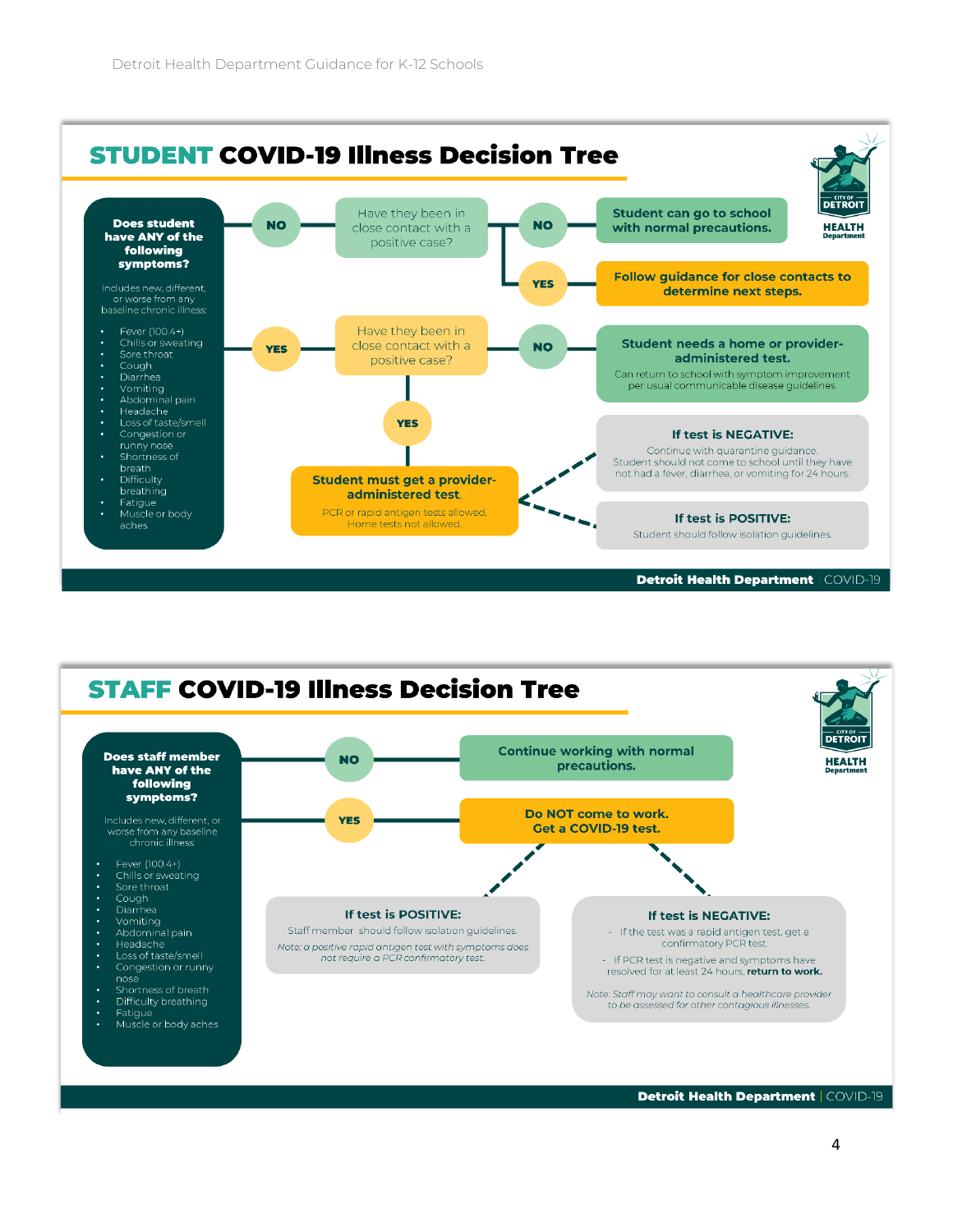



Detroit Health Department | COVID-19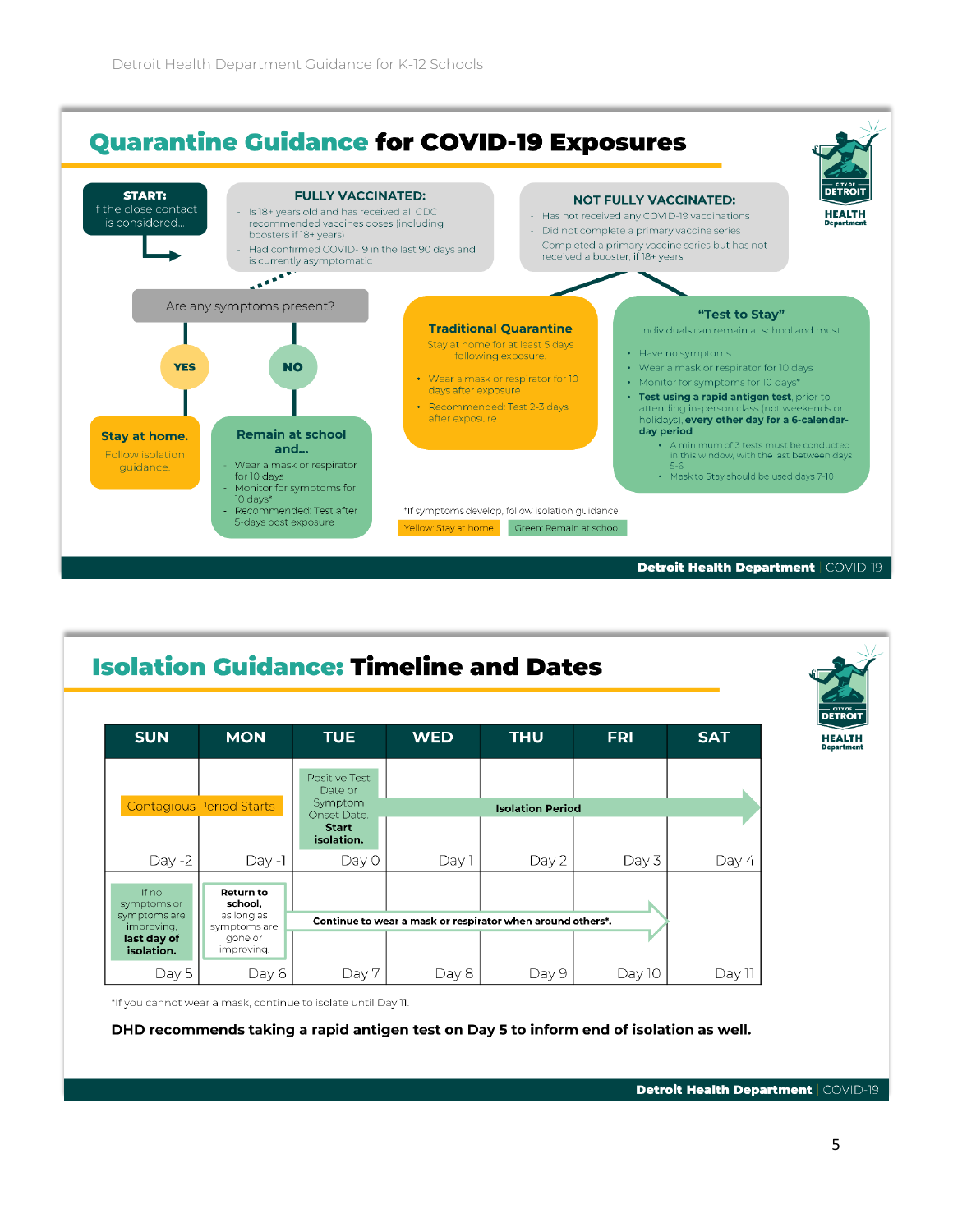

#### **Isolation Guidance: Timeline and Dates SUN MON TUE THU SAT WED FRI HEALTH** Positive Test Date or Symptom **Contagious Period Starts Isolation Period** Onset Date. **Start** isolation. Day -2  $Day -1$ Day 0 Day 1 Day 2 Day 3 Day 4 If no **Return to** symptoms or school, symptoms are as long as Continue to wear a mask or respirator when around others\*. improving symptoms are last day of<br>isolation. aone or improving. Day 5 Day 6 Day 7 Day 8 Day 9 Day 10 Day 11 \*If you cannot wear a mask, continue to isolate until Day 11.

DHD recommends taking a rapid antigen test on Day 5 to inform end of isolation as well.

Detroit Health Department | COVID-19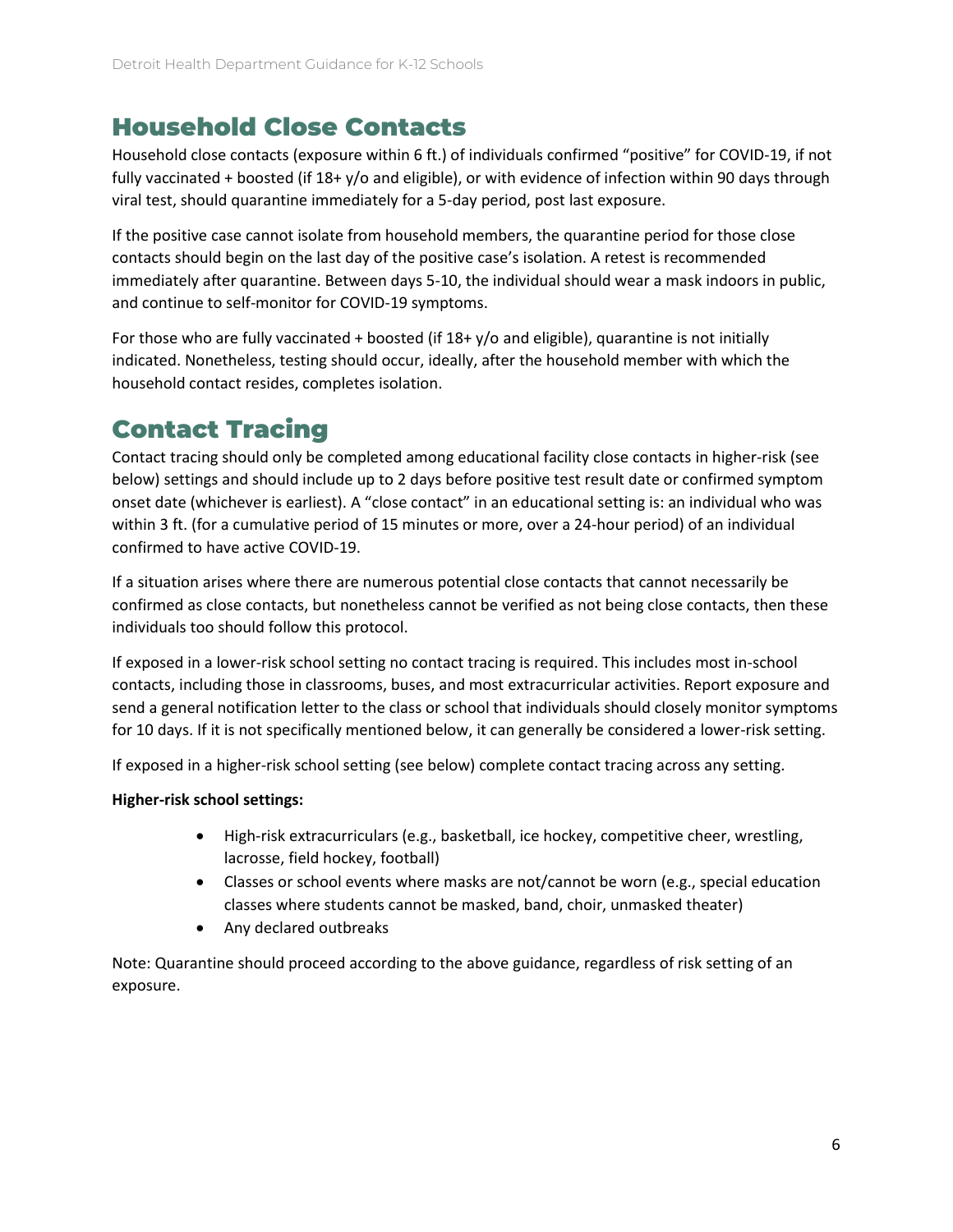## Household Close Contacts

Household close contacts (exposure within 6 ft.) of individuals confirmed "positive" for COVID-19, if not fully vaccinated + boosted (if 18+ y/o and eligible), or with evidence of infection within 90 days through viral test, should quarantine immediately for a 5-day period, post last exposure.

If the positive case cannot isolate from household members, the quarantine period for those close contacts should begin on the last day of the positive case's isolation. A retest is recommended immediately after quarantine. Between days 5-10, the individual should wear a mask indoors in public, and continue to self-monitor for COVID-19 symptoms.

For those who are fully vaccinated + boosted (if 18+ y/o and eligible), quarantine is not initially indicated. Nonetheless, testing should occur, ideally, after the household member with which the household contact resides, completes isolation.

# Contact Tracing

Contact tracing should only be completed among educational facility close contacts in higher-risk (see below) settings and should include up to 2 days before positive test result date or confirmed symptom onset date (whichever is earliest). A "close contact" in an educational setting is: an individual who was within 3 ft. (for a cumulative period of 15 minutes or more, over a 24-hour period) of an individual confirmed to have active COVID-19.

If a situation arises where there are numerous potential close contacts that cannot necessarily be confirmed as close contacts, but nonetheless cannot be verified as not being close contacts, then these individuals too should follow this protocol.

If exposed in a lower-risk school setting no contact tracing is required. This includes most in-school contacts, including those in classrooms, buses, and most extracurricular activities. Report exposure and send a general notification letter to the class or school that individuals should closely monitor symptoms for 10 days. If it is not specifically mentioned below, it can generally be considered a lower-risk setting.

If exposed in a higher-risk school setting (see below) complete contact tracing across any setting.

### **Higher-risk school settings:**

- High-risk extracurriculars (e.g., basketball, ice hockey, competitive cheer, wrestling, lacrosse, field hockey, football)
- Classes or school events where masks are not/cannot be worn (e.g., special education classes where students cannot be masked, band, choir, unmasked theater)
- Any declared outbreaks

Note: Quarantine should proceed according to the above guidance, regardless of risk setting of an exposure.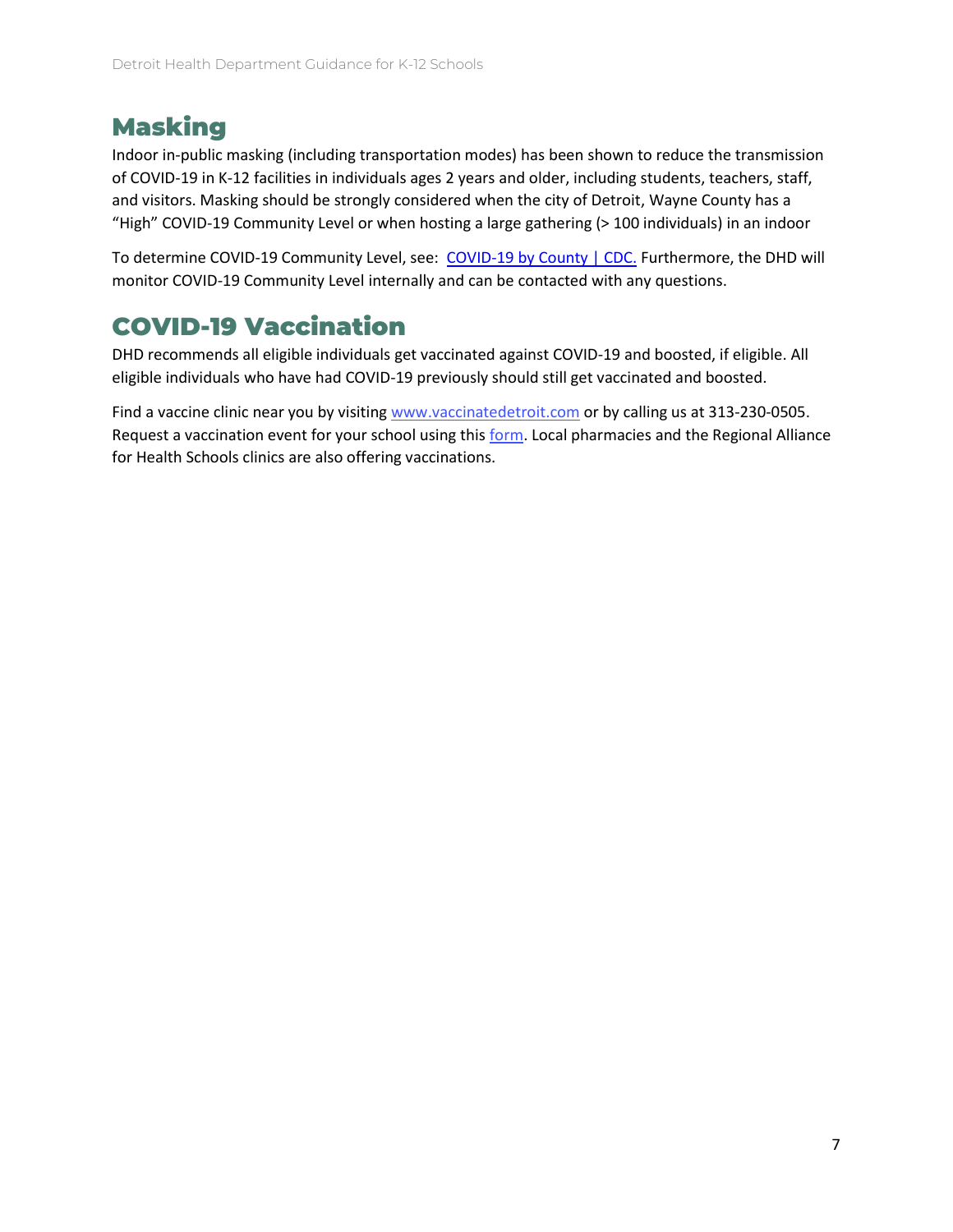## Masking

Indoor in-public masking (including transportation modes) has been shown to reduce the transmission of COVID-19 in K-12 facilities in individuals ages 2 years and older, including students, teachers, staff, and visitors. Masking should be strongly considered when the city of Detroit, Wayne County has a "High" COVID-19 Community Level or when hosting a large gathering (> 100 individuals) in an indoor

To determine COVID-19 Community Level, see: [COVID-19 by County | CDC.](https://www.cdc.gov/coronavirus/2019-ncov/your-health/covid-by-county.html) Furthermore, the DHD will monitor COVID-19 Community Level internally and can be contacted with any questions.

## COVID-19 Vaccination

DHD recommends all eligible individuals get vaccinated against COVID-19 and boosted, if eligible. All eligible individuals who have had COVID-19 previously should still get vaccinated and boosted.

Find a vaccine clinic near you by visiting [www.vaccinatedetroit.com](http://www.vaccinatedetroit.com/) or by calling us at 313-230-0505. Request a vaccination event for your school using thi[s form.](https://app.smartsheet.com/b/form/f1cec35f5e7b485c8f9827ddccb738ae) Local pharmacies and the Regional Alliance for Health Schools clinics are also offering vaccinations.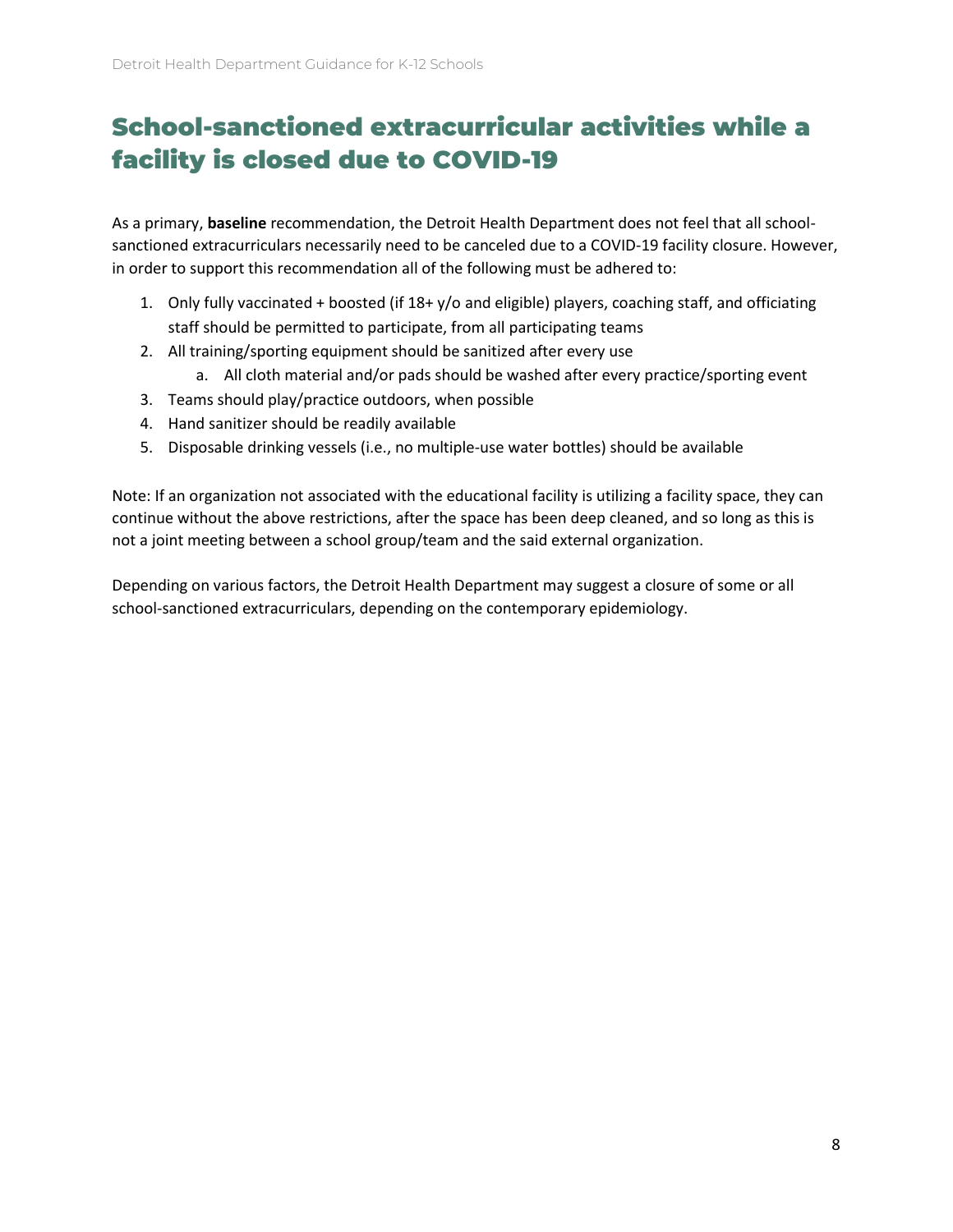# School-sanctioned extracurricular activities while a facility is closed due to COVID-19

As a primary, **baseline** recommendation, the Detroit Health Department does not feel that all schoolsanctioned extracurriculars necessarily need to be canceled due to a COVID-19 facility closure. However, in order to support this recommendation all of the following must be adhered to:

- 1. Only fully vaccinated + boosted (if 18+ y/o and eligible) players, coaching staff, and officiating staff should be permitted to participate, from all participating teams
- 2. All training/sporting equipment should be sanitized after every use
	- a. All cloth material and/or pads should be washed after every practice/sporting event
- 3. Teams should play/practice outdoors, when possible
- 4. Hand sanitizer should be readily available
- 5. Disposable drinking vessels (i.e., no multiple-use water bottles) should be available

Note: If an organization not associated with the educational facility is utilizing a facility space, they can continue without the above restrictions, after the space has been deep cleaned, and so long as this is not a joint meeting between a school group/team and the said external organization.

Depending on various factors, the Detroit Health Department may suggest a closure of some or all school-sanctioned extracurriculars, depending on the contemporary epidemiology.